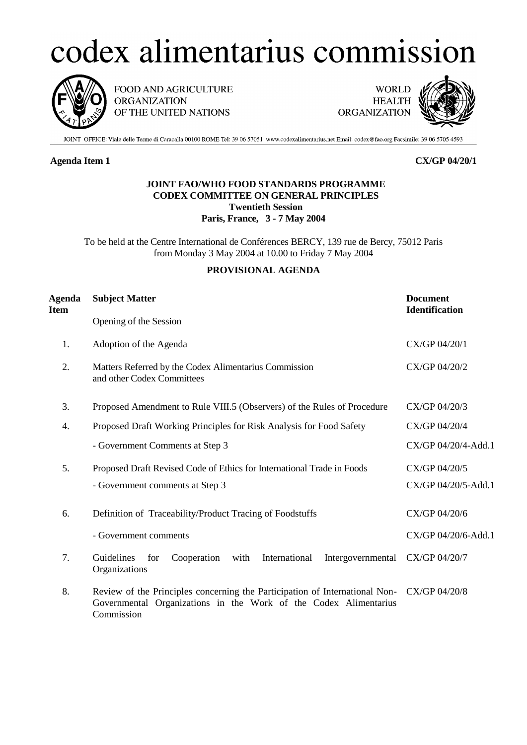# codex alimentarius commission



FOOD AND AGRICULTURE **ORGANIZATION** OF THE UNITED NATIONS

**WORLD HEALTH ORGANIZATION** 



JOINT OFFICE: Viale delle Terme di Caracalla 00100 ROME Tel: 39 06 57051 www.codexalimentarius.net Email: codex@fao.org Facsimile: 39 06 5705 4593

# **Agenda Item 1 CX/GP 04/20/1**

## **JOINT FAO/WHO FOOD STANDARDS PROGRAMME CODEX COMMITTEE ON GENERAL PRINCIPLES Twentieth Session Paris, France, 3 - 7 May 2004**

To be held at the Centre International de Conférences BERCY, 139 rue de Bercy, 75012 Paris from Monday 3 May 2004 at 10.00 to Friday 7 May 2004

## **PROVISIONAL AGENDA**

| <b>Agenda</b><br>Item | <b>Subject Matter</b>                                                                                                                                         | <b>Document</b><br><b>Identification</b> |
|-----------------------|---------------------------------------------------------------------------------------------------------------------------------------------------------------|------------------------------------------|
|                       | Opening of the Session                                                                                                                                        |                                          |
| 1.                    | Adoption of the Agenda                                                                                                                                        | CX/GP 04/20/1                            |
| 2.                    | Matters Referred by the Codex Alimentarius Commission<br>and other Codex Committees                                                                           | CX/GP 04/20/2                            |
| 3.                    | Proposed Amendment to Rule VIII.5 (Observers) of the Rules of Procedure                                                                                       | CX/GP 04/20/3                            |
| 4.                    | Proposed Draft Working Principles for Risk Analysis for Food Safety                                                                                           | CX/GP 04/20/4                            |
|                       | - Government Comments at Step 3                                                                                                                               | CX/GP 04/20/4-Add.1                      |
| 5.                    | Proposed Draft Revised Code of Ethics for International Trade in Foods                                                                                        | CX/GP 04/20/5                            |
|                       | - Government comments at Step 3                                                                                                                               | CX/GP 04/20/5-Add.1                      |
| 6.                    | Definition of Traceability/Product Tracing of Foodstuffs                                                                                                      | CX/GP 04/20/6                            |
|                       | - Government comments                                                                                                                                         | CX/GP 04/20/6-Add.1                      |
| 7.                    | International<br>Guidelines<br>Cooperation<br>with<br>for<br>Intergovernmental<br>Organizations                                                               | CX/GP 04/20/7                            |
| 8.                    | Review of the Principles concerning the Participation of International Non-<br>Governmental Organizations in the Work of the Codex Alimentarius<br>Commission | CX/GP 04/20/8                            |